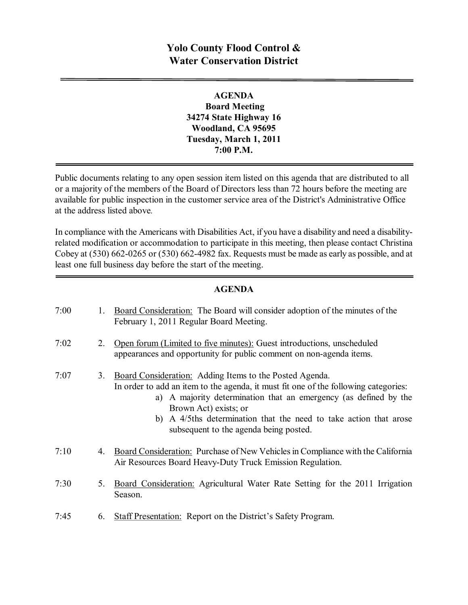# **Yolo County Flood Control & Water Conservation District**

### **AGENDA Board Meeting 34274 State Highway 16 Woodland, CA 95695 Tuesday, March 1, 2011 7:00 P.M.**

Public documents relating to any open session item listed on this agenda that are distributed to all or a majority of the members of the Board of Directors less than 72 hours before the meeting are available for public inspection in the customer service area of the District's Administrative Office at the address listed above*.*

In compliance with the Americans with Disabilities Act, if you have a disability and need a disabilityrelated modification or accommodation to participate in this meeting, then please contact Christina Cobey at  $(530)$  662-0265 or  $(530)$  662-4982 fax. Requests must be made as early as possible, and at least one full business day before the start of the meeting.

#### **AGENDA**

| 7:00 | 1. | Board Consideration: The Board will consider adoption of the minutes of the<br>February 1, 2011 Regular Board Meeting.                                                                                                                                                                                                                                     |
|------|----|------------------------------------------------------------------------------------------------------------------------------------------------------------------------------------------------------------------------------------------------------------------------------------------------------------------------------------------------------------|
| 7:02 | 2. | Open forum (Limited to five minutes): Guest introductions, unscheduled<br>appearances and opportunity for public comment on non-agenda items.                                                                                                                                                                                                              |
| 7:07 | 3. | Board Consideration: Adding Items to the Posted Agenda.<br>In order to add an item to the agenda, it must fit one of the following categories:<br>a) A majority determination that an emergency (as defined by the<br>Brown Act) exists; or<br>b) A 4/5ths determination that the need to take action that arose<br>subsequent to the agenda being posted. |
| 7:10 | 4. | Board Consideration: Purchase of New Vehicles in Compliance with the California<br>Air Resources Board Heavy-Duty Truck Emission Regulation.                                                                                                                                                                                                               |
| 7:30 | 5. | Board Consideration: Agricultural Water Rate Setting for the 2011 Irrigation<br>Season.                                                                                                                                                                                                                                                                    |
| 7:45 | 6. | <b>Staff Presentation:</b> Report on the District's Safety Program.                                                                                                                                                                                                                                                                                        |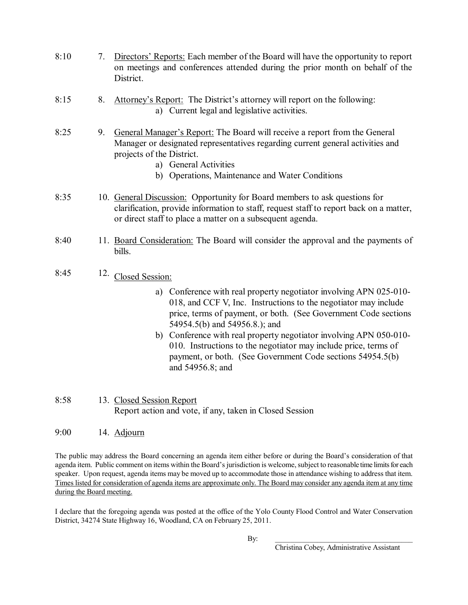- 8:10 7. Directors' Reports: Each member of the Board will have the opportunity to report on meetings and conferences attended during the prior month on behalf of the District.
- 8:15 8. Attorney's Report: The District's attorney will report on the following: a) Current legal and legislative activities.
- 8:25 9. General Manager's Report: The Board will receive a report from the General Manager or designated representatives regarding current general activities and projects of the District.
	- a) General Activities
	- b) Operations, Maintenance and Water Conditions
- 8:35 10. General Discussion: Opportunity for Board members to ask questions for clarification, provide information to staff, request staff to report back on a matter, or direct staff to place a matter on a subsequent agenda.
- 8:40 11. Board Consideration: The Board will consider the approval and the payments of bills.
- 8:45 12. Closed Session:
	- a) Conference with real property negotiator involving APN 025-010-018, and CCF V, Inc. Instructions to the negotiator may include price, terms of payment, or both. (See Government Code sections 54954.5(b) and 54956.8.); and
	- b) Conference with real property negotiator involving APN 050-010-010. Instructions to the negotiator may include price, terms of payment, or both. (See Government Code sections 54954.5(b) and 54956.8; and
- 8:58 13. Closed Session Report Report action and vote, if any, taken in Closed Session
- 9:00 14. Adjourn

The public may address the Board concerning an agenda item either before or during the Board's consideration of that agenda item. Public comment on items within the Board's jurisdiction is welcome, subject to reasonable time limits for each speaker. Upon request, agenda items may be moved up to accommodate those in attendance wishing to address that item. Times listed for consideration of agenda items are approximate only. The Board may consider any agenda item at any time during the Board meeting.

I declare that the foregoing agenda was posted at the office of the Yolo County Flood Control and Water Conservation District, 34274 State Highway 16, Woodland, CA on February 25, 2011.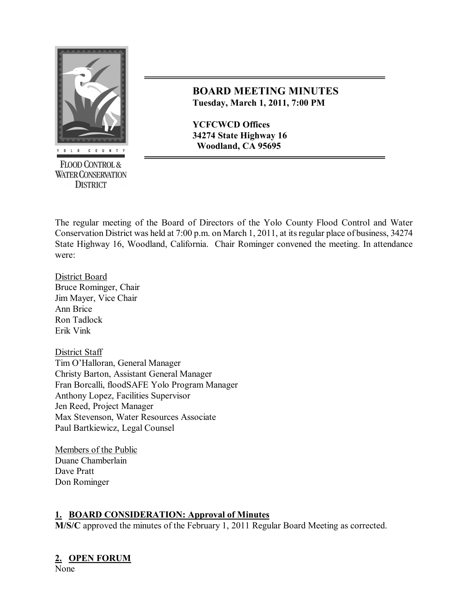

**FLOOD CONTROL & WATER CONSERVATION DISTRICT** 

## **BOARD MEETING MINUTES Tuesday, March 1, 2011, 7:00 PM**

**YCFCWCD Offices 34274 State Highway 16 Woodland, CA 95695**

The regular meeting of the Board of Directors of the Yolo County Flood Control and Water Conservation District was held at 7:00 p.m. on March 1, 2011, at itsregular place of business, 34274 State Highway 16, Woodland, California. Chair Rominger convened the meeting. In attendance were:

District Board Bruce Rominger, Chair Jim Mayer, Vice Chair Ann Brice Ron Tadlock Erik Vink

District Staff Tim O'Halloran, General Manager Christy Barton, Assistant General Manager Fran Borcalli, floodSAFE Yolo Program Manager Anthony Lopez, Facilities Supervisor Jen Reed, Project Manager Max Stevenson, Water Resources Associate Paul Bartkiewicz, Legal Counsel

Members of the Public Duane Chamberlain Dave Pratt Don Rominger

### **1. BOARD CONSIDERATION: Approval of Minutes**

**M/S/C** approved the minutes of the February 1, 2011 Regular Board Meeting as corrected.

### **2. OPEN FORUM**

None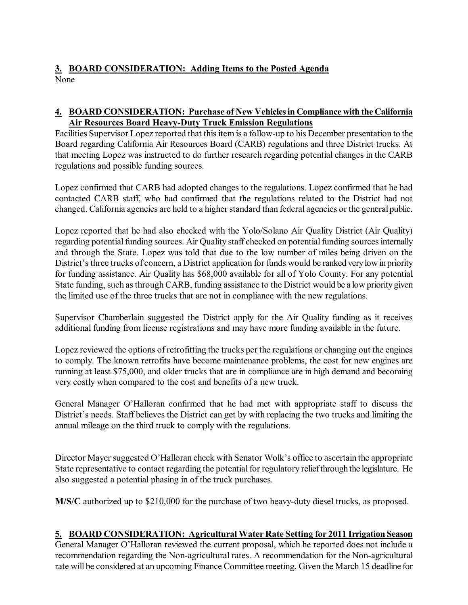# **3. BOARD CONSIDERATION: Adding Items to the Posted Agenda** None

### **4. BOARD CONSIDERATION: Purchase of New Vehiclesin Compliance with the California Air Resources Board Heavy-Duty Truck Emission Regulations**

Facilities Supervisor Lopez reported that this item is a follow-up to his December presentation to the Board regarding California Air Resources Board (CARB) regulations and three District trucks. At that meeting Lopez was instructed to do further research regarding potential changes in the CARB regulations and possible funding sources.

Lopez confirmed that CARB had adopted changes to the regulations. Lopez confirmed that he had contacted CARB staff, who had confirmed that the regulations related to the District had not changed. California agencies are held to a higher standard than federal agencies or the general public.

Lopez reported that he had also checked with the Yolo/Solano Air Quality District (Air Quality) regarding potential funding sources. Air Quality staff checked on potential funding sources internally and through the State. Lopez was told that due to the low number of miles being driven on the District's three trucks of concern, a District application for funds would be ranked very low in priority for funding assistance. Air Quality has \$68,000 available for all of Yolo County. For any potential State funding, such asthrough CARB, funding assistance to the District would be a low prioritygiven the limited use of the three trucks that are not in compliance with the new regulations.

Supervisor Chamberlain suggested the District apply for the Air Quality funding as it receives additional funding from license registrations and may have more funding available in the future.

Lopez reviewed the options of retrofitting the trucks per the regulations or changing out the engines to comply. The known retrofits have become maintenance problems, the cost for new engines are running at least \$75,000, and older trucks that are in compliance are in high demand and becoming very costly when compared to the cost and benefits of a new truck.

General Manager O'Halloran confirmed that he had met with appropriate staff to discuss the District's needs. Staff believes the District can get by with replacing the two trucks and limiting the annual mileage on the third truck to comply with the regulations.

Director Mayer suggested O'Halloran check with Senator Wolk's office to ascertain the appropriate State representative to contact regarding the potential for regulatory relief through the legislature. He also suggested a potential phasing in of the truck purchases.

**M/S/C** authorized up to \$210,000 for the purchase of two heavy-duty diesel trucks, as proposed.

### **5. BOARD CONSIDERATION: Agricultural Water Rate Setting for 2011 Irrigation Season**

General Manager O'Halloran reviewed the current proposal, which he reported does not include a recommendation regarding the Non-agricultural rates. A recommendation for the Non-agricultural rate will be considered at an upcoming Finance Committee meeting. Given the March 15 deadline for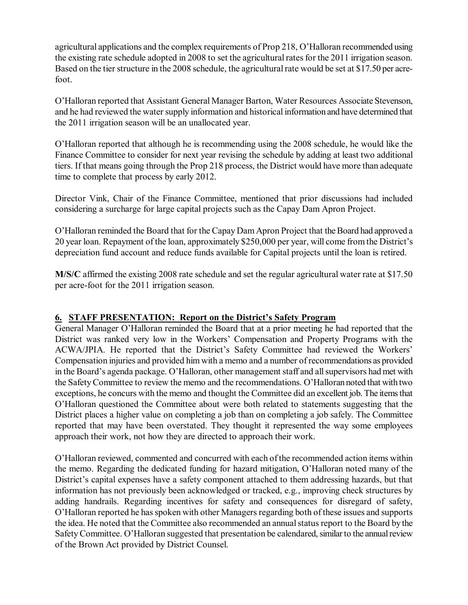agricultural applications and the complex requirements of Prop 218, O'Halloran recommended using the existing rate schedule adopted in 2008 to set the agricultural rates for the 2011 irrigation season. Based on the tier structure in the 2008 schedule, the agricultural rate would be set at \$17.50 per acrefoot.

O'Halloran reported that Assistant General Manager Barton, Water Resources Associate Stevenson, and he had reviewed the water supply information and historical information and have determined that the 2011 irrigation season will be an unallocated year.

O'Halloran reported that although he is recommending using the 2008 schedule, he would like the Finance Committee to consider for next year revising the schedule by adding at least two additional tiers. If that means going through the Prop 218 process, the District would have more than adequate time to complete that process by early 2012.

Director Vink, Chair of the Finance Committee, mentioned that prior discussions had included considering a surcharge for large capital projects such as the Capay Dam Apron Project.

O'Halloran reminded the Board that for the Capay Dam Apron Project that the Board had approved a 20 year loan. Repayment of the loan, approximately \$250,000 per year, will come from the District's depreciation fund account and reduce funds available for Capital projects until the loan is retired.

**M/S/C** affirmed the existing 2008 rate schedule and set the regular agricultural water rate at \$17.50 per acre-foot for the 2011 irrigation season.

### **6. STAFF PRESENTATION: Report on the District's Safety Program**

General Manager O'Halloran reminded the Board that at a prior meeting he had reported that the District was ranked very low in the Workers' Compensation and Property Programs with the ACWA/JPIA. He reported that the District's Safety Committee had reviewed the Workers' Compensation injuries and provided him with a memo and a number of recommendations as provided in the Board's agenda package. O'Halloran, other management staff and allsupervisors had met with the SafetyCommittee to review the memo and the recommendations. O'Halloran noted that with two exceptions, he concurs with the memo and thought the Committee did an excellent job. The itemsthat O'Halloran questioned the Committee about were both related to statements suggesting that the District places a higher value on completing a job than on completing a job safely. The Committee reported that may have been overstated. They thought it represented the way some employees approach their work, not how they are directed to approach their work.

O'Halloran reviewed, commented and concurred with each of the recommended action items within the memo. Regarding the dedicated funding for hazard mitigation, O'Halloran noted many of the District's capital expenses have a safety component attached to them addressing hazards, but that information has not previously been acknowledged or tracked, e.g., improving check structures by adding handrails. Regarding incentives for safety and consequences for disregard of safety, O'Halloran reported he has spoken with other Managers regarding both of these issues and supports the idea. He noted that the Committee also recommended an annualstatusreport to the Board by the Safety Committee. O'Halloran suggested that presentation be calendared, similar to the annual review of the Brown Act provided by District Counsel.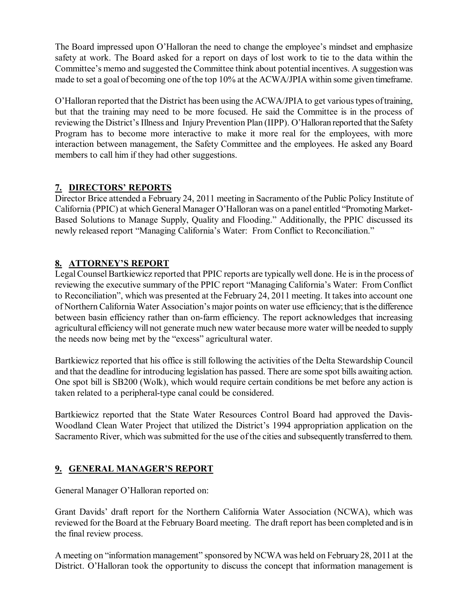The Board impressed upon O'Halloran the need to change the employee's mindset and emphasize safety at work. The Board asked for a report on days of lost work to tie to the data within the Committee's memo and suggested the Committee think about potential incentives. A suggestionwas made to set a goal of becoming one of the top 10% at the ACWA/JPIA within some given timeframe.

O'Halloran reported that the District has been using the ACWA/JPIA to get varioustypes oftraining, but that the training may need to be more focused. He said the Committee is in the process of reviewing the District's Illness and Injury Prevention Plan (IIPP). O'Halloran reported that the Safety Program has to become more interactive to make it more real for the employees, with more interaction between management, the Safety Committee and the employees. He asked any Board members to call him if they had other suggestions.

## **7. DIRECTORS' REPORTS**

Director Brice attended a February 24, 2011 meeting in Sacramento of the Public Policy Institute of California (PPIC) at which General Manager O'Halloran was on a panel entitled "Promoting Market-Based Solutions to Manage Supply, Quality and Flooding." Additionally, the PPIC discussed its newly released report "Managing California's Water: From Conflict to Reconciliation."

## **8. ATTORNEY'S REPORT**

Legal Counsel Bartkiewicz reported that PPIC reports are typically well done. He is in the process of reviewing the executive summary of the PPIC report "Managing California's Water: From Conflict to Reconciliation", which was presented at the February 24, 2011 meeting. It takesinto account one of Northern California Water Association's major points on water use efficiency; that isthe difference between basin efficiency rather than on-farm efficiency. The report acknowledges that increasing agricultural efficiency will not generate much new water because more water will be needed to supply the needs now being met by the "excess" agricultural water.

Bartkiewicz reported that his office is still following the activities of the Delta Stewardship Council and that the deadline for introducing legislation has passed. There are some spot bills awaiting action. One spot bill is SB200 (Wolk), which would require certain conditions be met before any action is taken related to a peripheral-type canal could be considered.

Bartkiewicz reported that the State Water Resources Control Board had approved the Davis-Woodland Clean Water Project that utilized the District's 1994 appropriation application on the Sacramento River, which was submitted for the use of the cities and subsequently transferred to them.

# **9. GENERAL MANAGER'S REPORT**

General Manager O'Halloran reported on:

Grant Davids' draft report for the Northern California Water Association (NCWA), which was reviewed for the Board at the February Board meeting. The draft report has been completed and is in the final review process.

A meeting on "information management" sponsored by NCWA was held on February28, 2011 at the District. O'Halloran took the opportunity to discuss the concept that information management is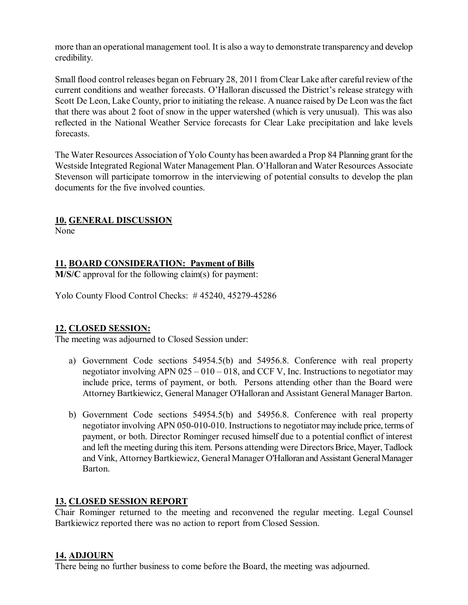more than an operational management tool. It is also a way to demonstrate transparency and develop credibility.

Small flood control releases began on February 28, 2011 from Clear Lake after careful review of the current conditions and weather forecasts. O'Halloran discussed the District's release strategy with Scott De Leon, Lake County, prior to initiating the release. A nuance raised by De Leon wasthe fact that there was about 2 foot of snow in the upper watershed (which is very unusual). This was also reflected in the National Weather Service forecasts for Clear Lake precipitation and lake levels forecasts.

The Water Resources Association of Yolo County has been awarded a Prop 84 Planning grant for the Westside Integrated Regional Water Management Plan. O'Halloran and Water Resources Associate Stevenson will participate tomorrow in the interviewing of potential consults to develop the plan documents for the five involved counties.

#### **10. GENERAL DISCUSSION**

None

### **11. BOARD CONSIDERATION: Payment of Bills**

**M/S/C** approval for the following claim(s) for payment:

Yolo County Flood Control Checks:  $\#$  45240, 45279-45286

#### **12. CLOSED SESSION:**

The meeting was adjourned to Closed Session under:

- a) Government Code sections 54954.5(b) and 54956.8. Conference with real property negotiator involving APN 025 – 010 – 018, and CCF V, Inc. Instructions to negotiator may include price, terms of payment, or both. Persons attending other than the Board were Attorney Bartkiewicz, General Manager O'Halloran and Assistant General Manager Barton.
- b) Government Code sections 54954.5(b) and 54956.8. Conference with real property negotiator involving APN 050-010-010. Instructions to negotiator may include price, terms of payment, or both. Director Rominger recused himself due to a potential conflict of interest and left the meeting during this item. Persons attending were Directors Brice, Mayer, Tadlock and Vink, Attorney Bartkiewicz, General Manager O'Halloran and Assistant General Manager Barton.

#### **13. CLOSED SESSION REPORT**

Chair Rominger returned to the meeting and reconvened the regular meeting. Legal Counsel Bartkiewicz reported there was no action to report from Closed Session.

#### **14. ADJOURN**

There being no further business to come before the Board, the meeting was adjourned.